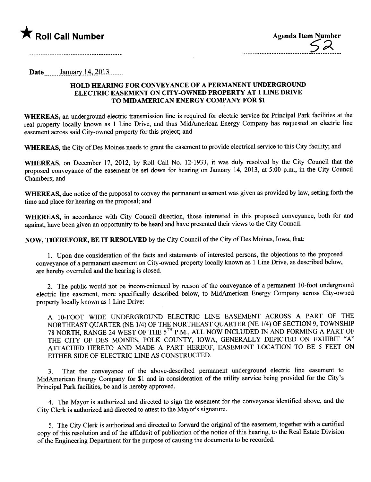

Date January  $14, 2013$ 

## HOLD HEARING FOR CONVEYANCE OF A PERMANENT UNDERGROUND ELECTRIC EASEMENT ON CITY-OWNED PROPERTY AT 1 LINE DRIVE TO MIDAMERICAN ENERGY COMPANY FOR \$1

 $\mathcal{L}_{\mathcal{A}}$ 

WHEREAS, an underground electric transmission line is required for electric service for Principal Park facilities at the real property locally known as 1 Line Drive, and thus MidAmerican Energy Company has requested an electric line easement across said City-owned property for this project; and

WHEREAS, the City of Des Moines needs to grant the easement to provide electrical service to this City facility; and

WHEREAS, on December 17, 2012, by Roll Call No. 12-1933, it was duly resolved by the City Council that the proposed conveyance of the easement be set down for hearing on January 14, 2013, at 5:00 p.m., in the City Council Chambers; and

WHEREAS, due notice of the proposal to convey the permanent easement was given as provided by law, setting forth the time and place for hearing on the proposal; and

WHEREAS, in accordance with City Council direction, those interested in this proposed conveyance, both for and against, have been given an opportunity to be heard and have presented their views to the City Council.

NOW, THEREFORE, BE IT RESOLVED by the City Council of the City of Des Moines, Iowa, that:

1. Upon due consideration of the facts and statements of interested persons, the objections to the proposed conveyance of a permanent easement on City-owned property locally known as 1 Line Drive, as described below, are hereby overruled and the hearing is closed.

2. The public would not be inconvenienced by reason of the conveyance of a permanent 10-foot underground electric line easement, more specifically described below, to MidAmerican Energy Company across City-owned property locally known as 1 Line Drive:

A 10-FOOT WIDE UNDERGROUND ELECTRIC LINE EASEMENT ACROSS A PART OF THE NORTHEAST OUARTER (NE 1/4) OF THE NORTHEAST QUARTER (NE 1/4) OF SECTION 9, TOWNSHIP 78 NORTH, RANGE 24 WEST OF THE 5TH P.M., ALL NOW INCLUDED IN AND FORMING A PART OF THE CITY OF DES MOINES, POLK COUNTY, IOWA, GENERALLY DEPICTED ON EXHIBIT "A" ATTACHED HERETO AND MADE A PART HEREOF, EASEMENT LOCATION TO BE 5 FEET ON EITHER SIDE OF ELECTRIC LINE AS CONSTRUCTED.

That the conveyance of the above-described permanent underground electric line easement to MidAmerican Energy Company for \$1 and in consideration of the utilty service being provided for the City's Principal Park facilties, be and is hereby approved.

4. The Mayor is authorized and directed to sign the easement for the conveyance identified above, and the City Clerk is authorized and directed to attest to the Mayor's signature.

5. The City Clerk is authorized and directed to forward the original of the easement, together with a certified copy of this resolution and of the affidavit of publication of the notice of this hearing, to the Real Estate Division of the Engineering Department for the purpose of causing the documents to be recorded.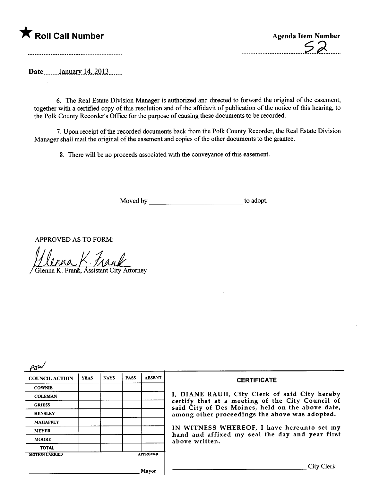

Date January 14, 2013

6. The Real Estate Division Manager is authorized and directed to forward the original of the easement, together with a certified copy of this resolution and of the affdavit of publication of the notice of this hearng, to the Polk County Recorder's Office for the purpose of causing these documents to be recorded.

7. Upon receipt of the recorded documents back from the Polk County Recorder, the Real Estate Division Manager shall mail the original of the easement and copies of the other documents to the grantee.

8. There will be no proceeds associated with the conveyance of this easement.

Moved by to adopt.

APPROVED AS TO FORM:

Glenna K. Frank, Assistant City Attorney

| <b>COUNCIL ACTION</b> | <b>YEAS</b> | <b>NAYS</b> | <b>PASS</b> | <b>ABSENT</b>   | <b>CERTIFICATE</b>                                                                                                                                     |  |  |
|-----------------------|-------------|-------------|-------------|-----------------|--------------------------------------------------------------------------------------------------------------------------------------------------------|--|--|
| <b>COWNIE</b>         |             |             |             |                 |                                                                                                                                                        |  |  |
| <b>COLEMAN</b>        |             |             |             |                 | I, DIANE RAUH, City Clerk of said City hereby                                                                                                          |  |  |
| <b>GRIESS</b>         |             |             |             |                 | certify that at a meeting of the City Council of<br>said City of Des Moines, held on the above date,<br>among other proceedings the above was adopted. |  |  |
| <b>HENSLEY</b>        |             |             |             |                 |                                                                                                                                                        |  |  |
| <b>MAHAFFEY</b>       |             |             |             |                 |                                                                                                                                                        |  |  |
| <b>MEYER</b>          |             |             |             |                 | IN WITNESS WHEREOF, I have hereunto set my<br>hand and affixed my seal the day and year first                                                          |  |  |
| <b>MOORE</b>          |             |             |             |                 | above written.                                                                                                                                         |  |  |
| <b>TOTAL</b>          |             |             |             |                 |                                                                                                                                                        |  |  |
| <b>MOTION CARRIED</b> |             |             |             | <b>APPROVED</b> |                                                                                                                                                        |  |  |